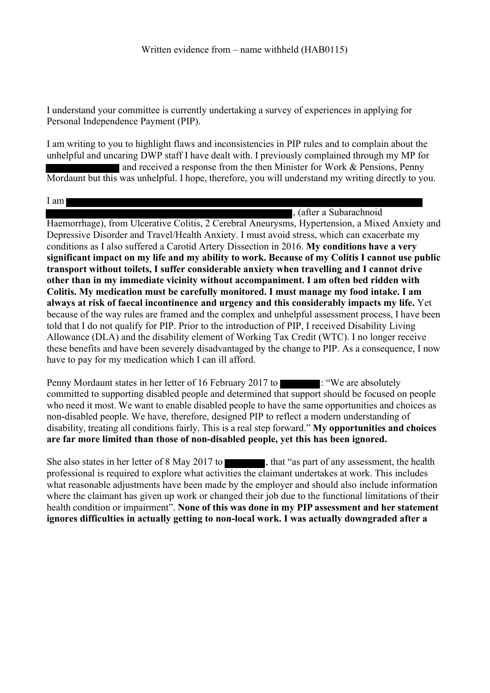I understand your committee is currently undertaking a survey of experiences in applying for Personal Independence Payment (PIP).

I am writing to you to highlight flaws and inconsistencies in PIP rules and to complain about the unhelpful and uncaring DWP staff I have dealt with. I previously complained through my MP for and received a response from the then Minister for Work & Pensions, Penny Mordaunt but this was unhelpful. I hope, therefore, you will understand my writing directly to you.

I am

, (after a Subarachnoid

Haemorrhage), from Ulcerative Colitis, 2 Cerebral Aneurysms, Hypertension, a Mixed Anxiety and Depressive Disorder and Travel/Health Anxiety. I must avoid stress, which can exacerbate my conditions as I also suffered a Carotid Artery Dissection in 2016. **My conditions have a very significant impact on my life and my ability to work. Because of my Colitis I cannot use public transport without toilets, I suffer considerable anxiety when travelling and I cannot drive other than in my immediate vicinity without accompaniment. I am often bed ridden with Colitis. My medication must be carefully monitored. I must manage my food intake. I am always at risk of faecal incontinence and urgency and this considerably impacts my life.** Yet because of the way rules are framed and the complex and unhelpful assessment process, I have been told that I do not qualify for PIP. Prior to the introduction of PIP, I received Disability Living Allowance (DLA) and the disability element of Working Tax Credit (WTC). I no longer receive these benefits and have been severely disadvantaged by the change to PIP. As a consequence, I now have to pay for my medication which I can ill afford.

Penny Mordaunt states in her letter of 16 February 2017 to : "We are absolutely committed to supporting disabled people and determined that support should be focused on people who need it most. We want to enable disabled people to have the same opportunities and choices as non-disabled people. We have, therefore, designed PIP to reflect a modern understanding of disability, treating all conditions fairly. This is a real step forward." **My opportunities and choices are far more limited than those of non-disabled people, yet this has been ignored.**

She also states in her letter of 8 May 2017 to , that "as part of any assessment, the health professional is required to explore what activities the claimant undertakes at work. This includes what reasonable adjustments have been made by the employer and should also include information where the claimant has given up work or changed their job due to the functional limitations of their health condition or impairment". **None of this was done in my PIP assessment and her statement ignores difficulties in actually getting to non-local work. I was actually downgraded after a**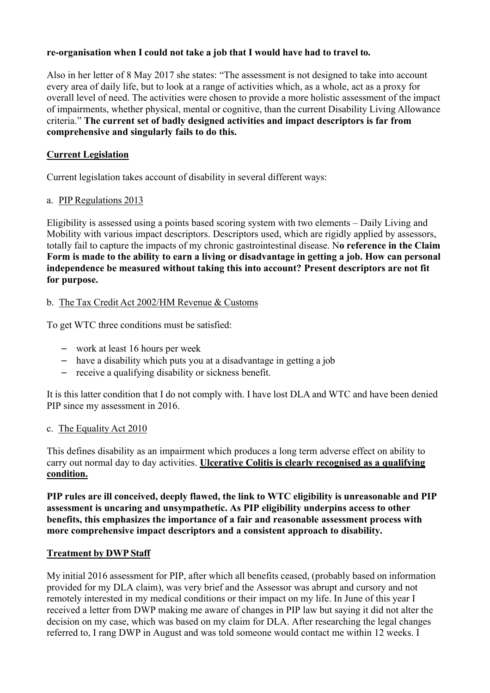### **re-organisation when I could not take a job that I would have had to travel to.**

Also in her letter of 8 May 2017 she states: "The assessment is not designed to take into account every area of daily life, but to look at a range of activities which, as a whole, act as a proxy for overall level of need. The activities were chosen to provide a more holistic assessment of the impact of impairments, whether physical, mental or cognitive, than the current Disability Living Allowance criteria." **The current set of badly designed activities and impact descriptors is far from comprehensive and singularly fails to do this.**

## **Current Legislation**

Current legislation takes account of disability in several different ways:

### a. PIP Regulations 2013

Eligibility is assessed using a points based scoring system with two elements – Daily Living and Mobility with various impact descriptors. Descriptors used, which are rigidly applied by assessors, totally fail to capture the impacts of my chronic gastrointestinal disease. N**o reference in the Claim** Form is made to the ability to earn a living or disadvantage in getting a job. How can personal **independence be measured without taking this into account? Present descriptors are not fit for purpose.**

# b. The Tax Credit Act 2002/HM Revenue & Customs

To get WTC three conditions must be satisfied:

- work at least 16 hours per week
- have a disability which puts you at a disadvantage in getting a job
- receive a qualifying disability or sickness benefit.

It is this latter condition that I do not comply with. I have lost DLA and WTC and have been denied PIP since my assessment in 2016.

### c. The Equality Act 2010

This defines disability as an impairment which produces a long term adverse effect on ability to carry out normal day to day activities. **Ulcerative Colitis is clearly recognised as a qualifying condition.**

**PIP rules are ill conceived, deeply flawed, the link to WTC eligibility is unreasonable and PIP assessment is uncaring and unsympathetic. As PIP eligibility underpins access to other benefits, this emphasizes the importance of a fair and reasonable assessment process with more comprehensive impact descriptors and a consistent approach to disability.**

### **Treatment by DWP Staff**

My initial 2016 assessment for PIP, after which all benefits ceased, (probably based on information provided for my DLA claim), was very brief and the Assessor was abrupt and cursory and not remotely interested in my medical conditions or their impact on my life. In June of this year I received a letter from DWP making me aware of changes in PIP law but saying it did not alter the decision on my case, which was based on my claim for DLA. After researching the legal changes referred to, I rang DWP in August and was told someone would contact me within 12 weeks. I